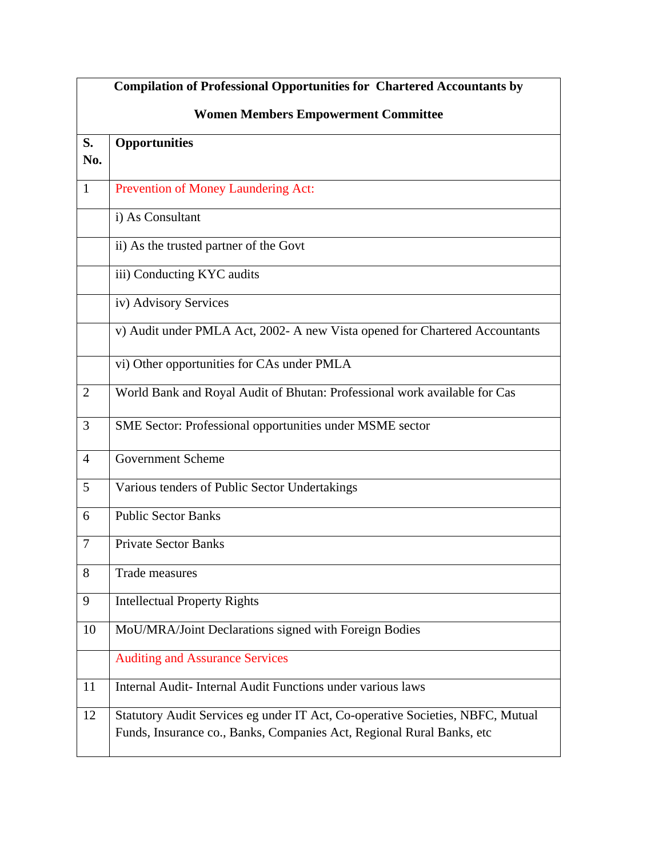|                | <b>Compilation of Professional Opportunities for Chartered Accountants by</b>                                                                            |  |  |
|----------------|----------------------------------------------------------------------------------------------------------------------------------------------------------|--|--|
|                | <b>Women Members Empowerment Committee</b>                                                                                                               |  |  |
| S.<br>No.      | <b>Opportunities</b>                                                                                                                                     |  |  |
| 1              | Prevention of Money Laundering Act:                                                                                                                      |  |  |
|                | i) As Consultant                                                                                                                                         |  |  |
|                | ii) As the trusted partner of the Govt                                                                                                                   |  |  |
|                | iii) Conducting KYC audits                                                                                                                               |  |  |
|                | iv) Advisory Services                                                                                                                                    |  |  |
|                | v) Audit under PMLA Act, 2002- A new Vista opened for Chartered Accountants                                                                              |  |  |
|                | vi) Other opportunities for CAs under PMLA                                                                                                               |  |  |
| $\overline{2}$ | World Bank and Royal Audit of Bhutan: Professional work available for Cas                                                                                |  |  |
| 3              | SME Sector: Professional opportunities under MSME sector                                                                                                 |  |  |
| $\overline{4}$ | <b>Government Scheme</b>                                                                                                                                 |  |  |
| 5              | Various tenders of Public Sector Undertakings                                                                                                            |  |  |
| 6              | <b>Public Sector Banks</b>                                                                                                                               |  |  |
| 7              | <b>Private Sector Banks</b>                                                                                                                              |  |  |
| 8              | Trade measures                                                                                                                                           |  |  |
| 9              | <b>Intellectual Property Rights</b>                                                                                                                      |  |  |
| 10             | MoU/MRA/Joint Declarations signed with Foreign Bodies                                                                                                    |  |  |
|                | <b>Auditing and Assurance Services</b>                                                                                                                   |  |  |
| 11             | Internal Audit-Internal Audit Functions under various laws                                                                                               |  |  |
| 12             | Statutory Audit Services eg under IT Act, Co-operative Societies, NBFC, Mutual<br>Funds, Insurance co., Banks, Companies Act, Regional Rural Banks, etc. |  |  |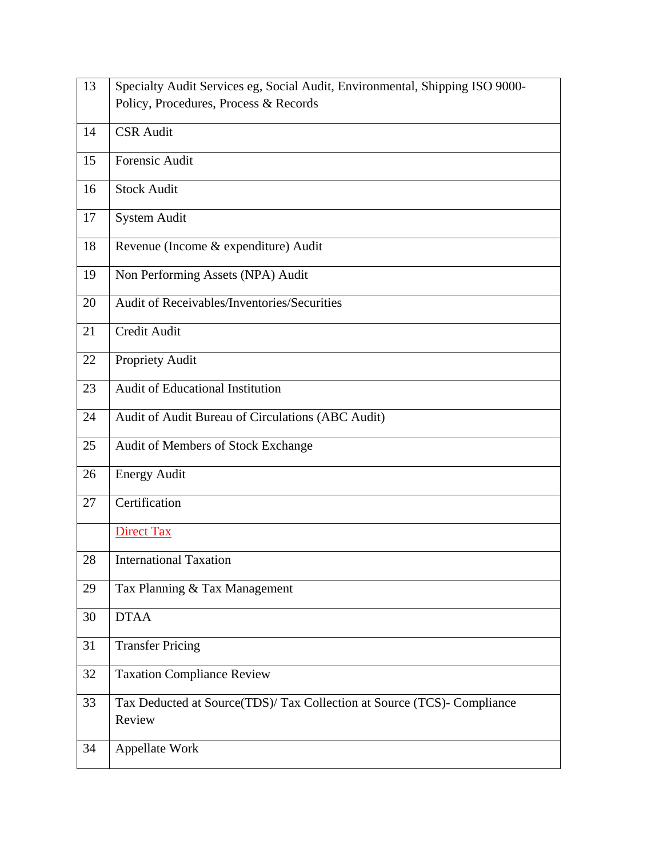| 13 | Specialty Audit Services eg, Social Audit, Environmental, Shipping ISO 9000- |  |
|----|------------------------------------------------------------------------------|--|
|    | Policy, Procedures, Process & Records                                        |  |
|    |                                                                              |  |
| 14 | <b>CSR</b> Audit                                                             |  |
| 15 | Forensic Audit                                                               |  |
|    |                                                                              |  |
| 16 | <b>Stock Audit</b>                                                           |  |
| 17 | <b>System Audit</b>                                                          |  |
|    |                                                                              |  |
| 18 | Revenue (Income & expenditure) Audit                                         |  |
|    |                                                                              |  |
| 19 | Non Performing Assets (NPA) Audit                                            |  |
| 20 | Audit of Receivables/Inventories/Securities                                  |  |
|    |                                                                              |  |
| 21 | Credit Audit                                                                 |  |
|    |                                                                              |  |
| 22 | <b>Propriety Audit</b>                                                       |  |
| 23 | Audit of Educational Institution                                             |  |
|    |                                                                              |  |
| 24 | Audit of Audit Bureau of Circulations (ABC Audit)                            |  |
| 25 | Audit of Members of Stock Exchange                                           |  |
|    |                                                                              |  |
| 26 | <b>Energy Audit</b>                                                          |  |
|    |                                                                              |  |
| 27 | Certification                                                                |  |
|    | <b>Direct Tax</b>                                                            |  |
|    |                                                                              |  |
| 28 | <b>International Taxation</b>                                                |  |
|    |                                                                              |  |
| 29 | Tax Planning & Tax Management                                                |  |
| 30 | <b>DTAA</b>                                                                  |  |
|    |                                                                              |  |
| 31 | <b>Transfer Pricing</b>                                                      |  |
| 32 | <b>Taxation Compliance Review</b>                                            |  |
|    |                                                                              |  |
| 33 | Tax Deducted at Source(TDS)/ Tax Collection at Source (TCS)- Compliance      |  |
|    | Review                                                                       |  |
|    |                                                                              |  |
| 34 | Appellate Work                                                               |  |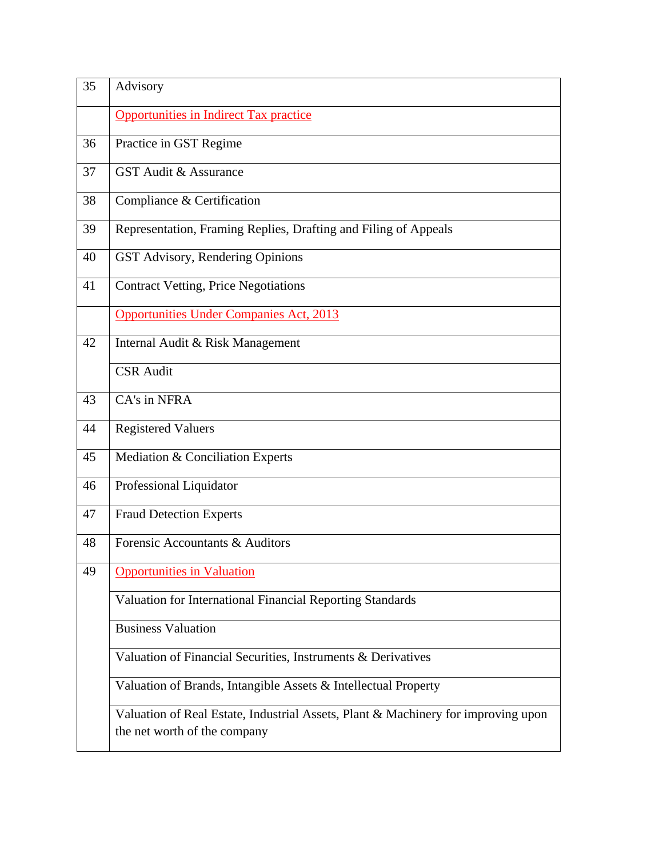| 35 | Advisory                                                                                                          |  |
|----|-------------------------------------------------------------------------------------------------------------------|--|
|    | <b>Opportunities in Indirect Tax practice</b>                                                                     |  |
| 36 | Practice in GST Regime                                                                                            |  |
| 37 | <b>GST Audit &amp; Assurance</b>                                                                                  |  |
| 38 | Compliance & Certification                                                                                        |  |
| 39 | Representation, Framing Replies, Drafting and Filing of Appeals                                                   |  |
| 40 | GST Advisory, Rendering Opinions                                                                                  |  |
| 41 | <b>Contract Vetting, Price Negotiations</b>                                                                       |  |
|    | <b>Opportunities Under Companies Act, 2013</b>                                                                    |  |
| 42 | Internal Audit & Risk Management                                                                                  |  |
|    | <b>CSR Audit</b>                                                                                                  |  |
| 43 | CA's in NFRA                                                                                                      |  |
| 44 | <b>Registered Valuers</b>                                                                                         |  |
| 45 | Mediation & Conciliation Experts                                                                                  |  |
| 46 | Professional Liquidator                                                                                           |  |
| 47 | <b>Fraud Detection Experts</b>                                                                                    |  |
| 48 | Forensic Accountants & Auditors                                                                                   |  |
| 49 | <b>Opportunities in Valuation</b>                                                                                 |  |
|    | Valuation for International Financial Reporting Standards                                                         |  |
|    | <b>Business Valuation</b>                                                                                         |  |
|    | Valuation of Financial Securities, Instruments & Derivatives                                                      |  |
|    | Valuation of Brands, Intangible Assets & Intellectual Property                                                    |  |
|    | Valuation of Real Estate, Industrial Assets, Plant & Machinery for improving upon<br>the net worth of the company |  |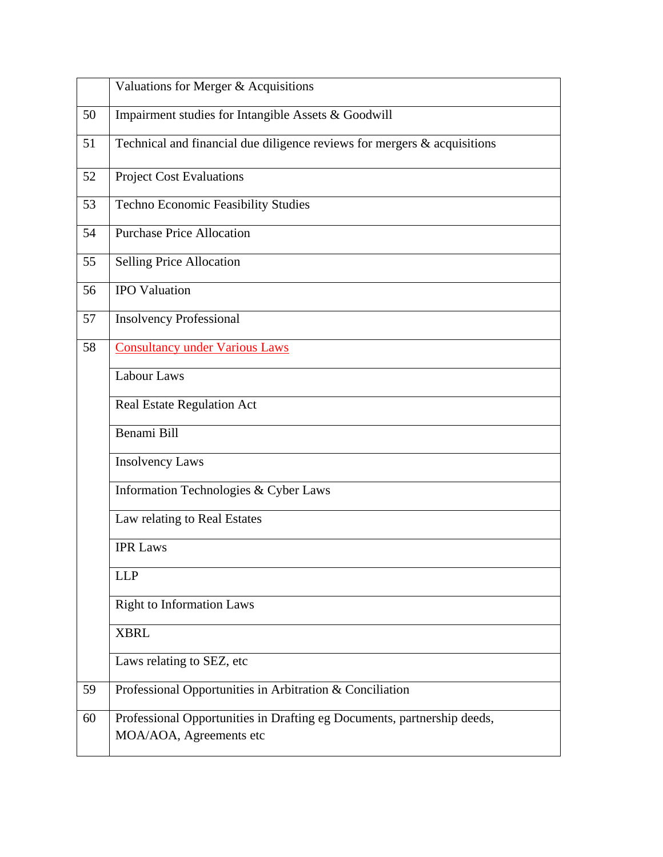|    | Valuations for Merger & Acquisitions                                                               |  |
|----|----------------------------------------------------------------------------------------------------|--|
| 50 | Impairment studies for Intangible Assets & Goodwill                                                |  |
| 51 | Technical and financial due diligence reviews for mergers $\&$ acquisitions                        |  |
| 52 | <b>Project Cost Evaluations</b>                                                                    |  |
| 53 | Techno Economic Feasibility Studies                                                                |  |
| 54 | <b>Purchase Price Allocation</b>                                                                   |  |
| 55 | Selling Price Allocation                                                                           |  |
| 56 | <b>IPO Valuation</b>                                                                               |  |
| 57 | <b>Insolvency Professional</b>                                                                     |  |
| 58 | <b>Consultancy under Various Laws</b>                                                              |  |
|    | <b>Labour Laws</b>                                                                                 |  |
|    | Real Estate Regulation Act                                                                         |  |
|    | Benami Bill                                                                                        |  |
|    | <b>Insolvency Laws</b>                                                                             |  |
|    | Information Technologies & Cyber Laws                                                              |  |
|    | Law relating to Real Estates                                                                       |  |
|    | <b>IPR Laws</b>                                                                                    |  |
|    | <b>LLP</b>                                                                                         |  |
|    | <b>Right to Information Laws</b>                                                                   |  |
|    | <b>XBRL</b>                                                                                        |  |
|    | Laws relating to SEZ, etc                                                                          |  |
| 59 | Professional Opportunities in Arbitration & Conciliation                                           |  |
| 60 | Professional Opportunities in Drafting eg Documents, partnership deeds,<br>MOA/AOA, Agreements etc |  |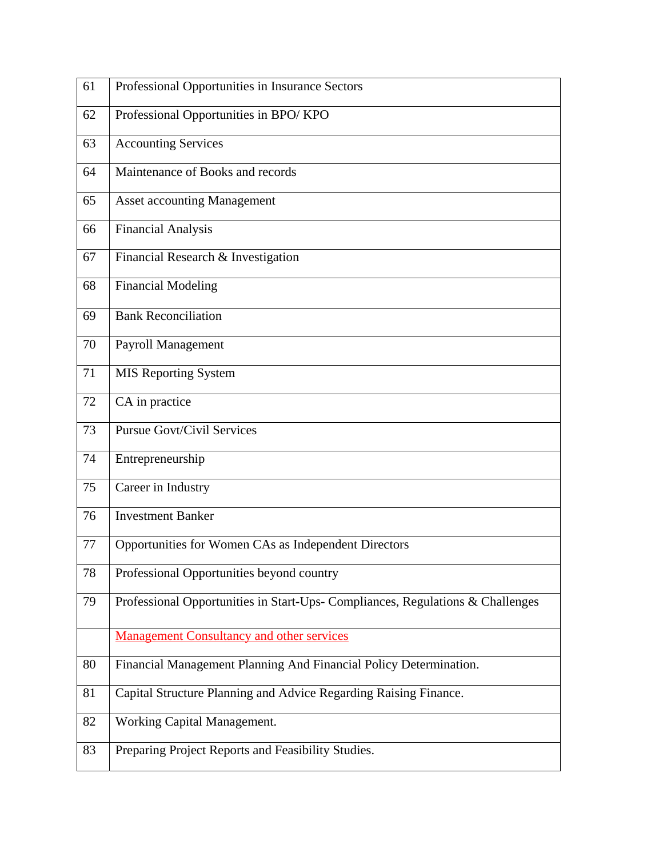| 61 | Professional Opportunities in Insurance Sectors                                |  |
|----|--------------------------------------------------------------------------------|--|
| 62 | Professional Opportunities in BPO/KPO                                          |  |
| 63 | <b>Accounting Services</b>                                                     |  |
| 64 | Maintenance of Books and records                                               |  |
| 65 | <b>Asset accounting Management</b>                                             |  |
| 66 | <b>Financial Analysis</b>                                                      |  |
| 67 | Financial Research & Investigation                                             |  |
| 68 | <b>Financial Modeling</b>                                                      |  |
| 69 | <b>Bank Reconciliation</b>                                                     |  |
| 70 | Payroll Management                                                             |  |
| 71 | <b>MIS Reporting System</b>                                                    |  |
| 72 | CA in practice                                                                 |  |
| 73 | <b>Pursue Govt/Civil Services</b>                                              |  |
| 74 | Entrepreneurship                                                               |  |
| 75 | Career in Industry                                                             |  |
| 76 | <b>Investment Banker</b>                                                       |  |
| 77 | Opportunities for Women CAs as Independent Directors                           |  |
| 78 | Professional Opportunities beyond country                                      |  |
| 79 | Professional Opportunities in Start-Ups- Compliances, Regulations & Challenges |  |
|    | <b>Management Consultancy and other services</b>                               |  |
| 80 | Financial Management Planning And Financial Policy Determination.              |  |
| 81 | Capital Structure Planning and Advice Regarding Raising Finance.               |  |
| 82 | Working Capital Management.                                                    |  |
| 83 | Preparing Project Reports and Feasibility Studies.                             |  |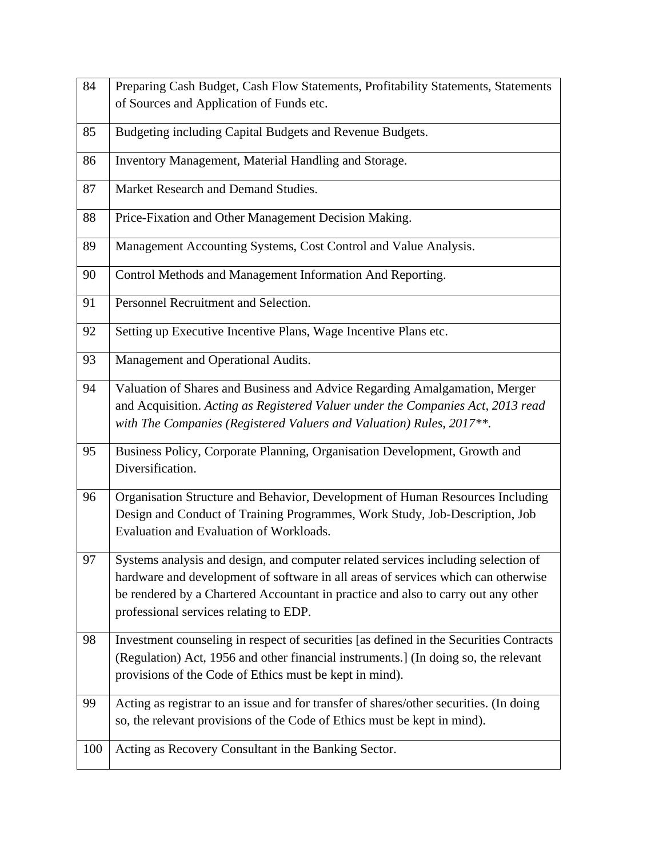| 84  | Preparing Cash Budget, Cash Flow Statements, Profitability Statements, Statements                                                                                                                                                                                                                     |  |
|-----|-------------------------------------------------------------------------------------------------------------------------------------------------------------------------------------------------------------------------------------------------------------------------------------------------------|--|
|     | of Sources and Application of Funds etc.                                                                                                                                                                                                                                                              |  |
| 85  | Budgeting including Capital Budgets and Revenue Budgets.                                                                                                                                                                                                                                              |  |
| 86  | Inventory Management, Material Handling and Storage.                                                                                                                                                                                                                                                  |  |
| 87  | Market Research and Demand Studies.                                                                                                                                                                                                                                                                   |  |
| 88  | Price-Fixation and Other Management Decision Making.                                                                                                                                                                                                                                                  |  |
| 89  | Management Accounting Systems, Cost Control and Value Analysis.                                                                                                                                                                                                                                       |  |
| 90  | Control Methods and Management Information And Reporting.                                                                                                                                                                                                                                             |  |
| 91  | Personnel Recruitment and Selection.                                                                                                                                                                                                                                                                  |  |
| 92  | Setting up Executive Incentive Plans, Wage Incentive Plans etc.                                                                                                                                                                                                                                       |  |
| 93  | Management and Operational Audits.                                                                                                                                                                                                                                                                    |  |
| 94  | Valuation of Shares and Business and Advice Regarding Amalgamation, Merger<br>and Acquisition. Acting as Registered Valuer under the Companies Act, 2013 read<br>with The Companies (Registered Valuers and Valuation) Rules, 2017**.                                                                 |  |
| 95  | Business Policy, Corporate Planning, Organisation Development, Growth and<br>Diversification.                                                                                                                                                                                                         |  |
| 96  | Organisation Structure and Behavior, Development of Human Resources Including<br>Design and Conduct of Training Programmes, Work Study, Job-Description, Job<br>Evaluation and Evaluation of Workloads.                                                                                               |  |
| 97  | Systems analysis and design, and computer related services including selection of<br>hardware and development of software in all areas of services which can otherwise<br>be rendered by a Chartered Accountant in practice and also to carry out any other<br>professional services relating to EDP. |  |
| 98  | Investment counseling in respect of securities [as defined in the Securities Contracts<br>(Regulation) Act, 1956 and other financial instruments.] (In doing so, the relevant<br>provisions of the Code of Ethics must be kept in mind).                                                              |  |
| 99  | Acting as registrar to an issue and for transfer of shares/other securities. (In doing<br>so, the relevant provisions of the Code of Ethics must be kept in mind).                                                                                                                                    |  |
| 100 | Acting as Recovery Consultant in the Banking Sector.                                                                                                                                                                                                                                                  |  |